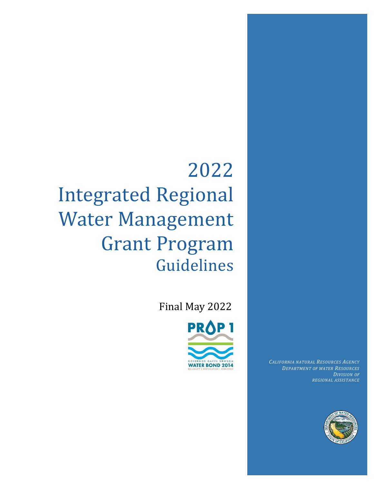# 2022 Integrated Regional Water Management Grant Program Guidelines

Final May 2022



*CALIFORNIA NATURAL RESOURCES AGENCY DEPARTMENT OF WATER RESOURCES DIVISION OF REGIONAL ASSISTANCE*

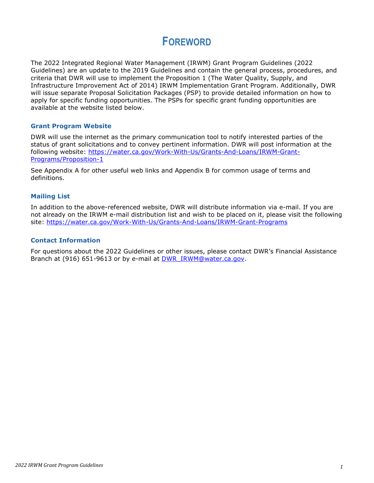## **FOREWORD**

The 2022 Integrated Regional Water Management (IRWM) Grant Program Guidelines (2022 Guidelines) are an update to the 2019 Guidelines and contain the general process, procedures, and criteria that DWR will use to implement the Proposition 1 (The Water Quality, Supply, and Infrastructure Improvement Act of 2014) IRWM Implementation Grant Program. Additionally, DWR will issue separate Proposal Solicitation Packages (PSP) to provide detailed information on how to apply for specific funding opportunities. The PSPs for specific grant funding opportunities are available at the website listed below.

#### **Grant Program Website**

DWR will use the internet as the primary communication tool to notify interested parties of the status of grant solicitations and to convey pertinent information. DWR will post information at the following website: [https://water.ca.gov/Work-With-Us/Grants-And-Loans/IRWM-Grant-](https://water.ca.gov/Work-With-Us/Grants-And-Loans/IRWM-Grant-Programs/Proposition-1)[Programs/Proposition-1](https://water.ca.gov/Work-With-Us/Grants-And-Loans/IRWM-Grant-Programs/Proposition-1)

See Appendix A for other useful web links and Appendix B for common usage of terms and definitions.

#### **Mailing List**

In addition to the above-referenced website, DWR will distribute information via e-mail. If you are not already on the IRWM e-mail distribution list and wish to be placed on it, please visit the following site:<https://water.ca.gov/Work-With-Us/Grants-And-Loans/IRWM-Grant-Programs>

#### **Contact Information**

For questions about the 2022 Guidelines or other issues, please contact DWR's Financial Assistance Branch at (916) 651-9613 or by e-mail at [DWR\\_IRWM@water.ca.gov.](mailto:DWR_IRWM@water.ca.gov)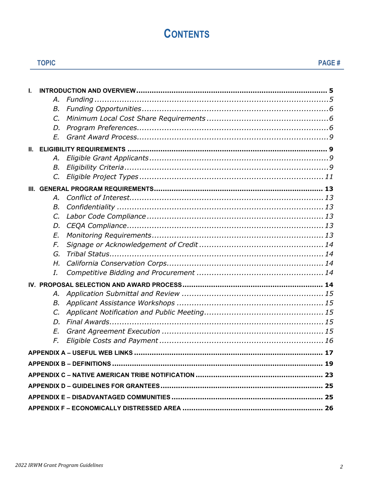## **CONTENTS**

**TOPIC** 

| L |             |  |  |
|---|-------------|--|--|
|   | А.          |  |  |
|   | В.          |  |  |
|   | $C_{\cdot}$ |  |  |
|   | D.          |  |  |
|   | E.          |  |  |
|   |             |  |  |
|   | А.          |  |  |
|   | В.          |  |  |
|   | $C_{\cdot}$ |  |  |
|   |             |  |  |
|   | А.          |  |  |
|   | В.          |  |  |
|   | C.          |  |  |
|   | D.          |  |  |
|   | E.          |  |  |
|   | F.          |  |  |
|   | G.          |  |  |
|   | Η.          |  |  |
|   | I.          |  |  |
|   |             |  |  |
|   | А.          |  |  |
|   | В.          |  |  |
|   | $C_{\cdot}$ |  |  |
|   | D.          |  |  |
|   | E.          |  |  |
|   | F.          |  |  |
|   |             |  |  |
|   |             |  |  |
|   |             |  |  |
|   |             |  |  |
|   |             |  |  |
|   |             |  |  |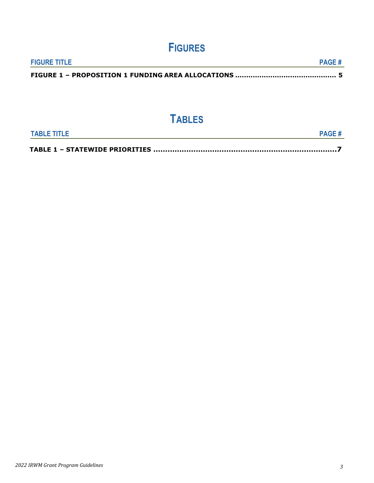## **FIGURES**

| <b>FIGURE TITLE</b> | <b>PAGE#</b> |
|---------------------|--------------|
|                     |              |

## **TABLES**

| <b>TABLE TITLE</b> |  |
|--------------------|--|
|                    |  |
|                    |  |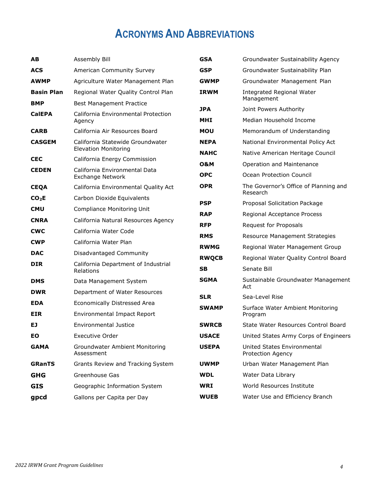## **ACRONYMS AND ABBREVIATIONS**

<span id="page-4-0"></span>

| AB                | Assembly Bill                                                   | <b>GSA</b>               | Groundwater Sustainability Agency                 |
|-------------------|-----------------------------------------------------------------|--------------------------|---------------------------------------------------|
| <b>ACS</b>        | American Community Survey                                       | <b>GSP</b>               | Groundwater Sustainability Plan                   |
| <b>AWMP</b>       | Agriculture Water Management Plan                               | <b>GWMP</b>              | Groundwater Management Plan                       |
| <b>Basin Plan</b> | Regional Water Quality Control Plan                             | <b>IRWM</b>              | <b>Integrated Regional Water</b>                  |
| <b>BMP</b>        | <b>Best Management Practice</b>                                 |                          | Management                                        |
| <b>CalEPA</b>     | California Environmental Protection                             | <b>JPA</b><br><b>MHI</b> | Joint Powers Authority<br>Median Household Income |
|                   | Agency                                                          |                          |                                                   |
| <b>CARB</b>       | California Air Resources Board                                  | <b>MOU</b>               | Memorandum of Understanding                       |
| <b>CASGEM</b>     | California Statewide Groundwater<br><b>Elevation Monitoring</b> | <b>NEPA</b>              | National Environmental Policy Act                 |
| <b>CEC</b>        | California Energy Commission                                    | <b>NAHC</b>              | Native American Heritage Council                  |
| <b>CEDEN</b>      | California Environmental Data                                   | 0&M                      | Operation and Maintenance                         |
|                   | Exchange Network                                                | <b>OPC</b>               | Ocean Protection Council                          |
| <b>CEQA</b>       | California Environmental Quality Act                            | <b>OPR</b>               | The Governor's Office of Planning and<br>Research |
| CO <sub>2</sub> E | Carbon Dioxide Equivalents                                      | <b>PSP</b>               | Proposal Solicitation Package                     |
| <b>CMU</b>        | <b>Compliance Monitoring Unit</b>                               | <b>RAP</b>               | Regional Acceptance Process                       |
| <b>CNRA</b>       | California Natural Resources Agency                             | <b>RFP</b>               | Request for Proposals                             |
| <b>CWC</b>        | California Water Code                                           | <b>RMS</b>               | Resource Management Strategies                    |
| <b>CWP</b>        | California Water Plan                                           | <b>RWMG</b>              | Regional Water Management Group                   |
| <b>DAC</b>        | Disadvantaged Community                                         | <b>RWQCB</b>             | Regional Water Quality Control Board              |
| <b>DIR</b>        | California Department of Industrial<br>Relations                | <b>SB</b>                | Senate Bill                                       |
| <b>DMS</b>        | Data Management System                                          | <b>SGMA</b>              | Sustainable Groundwater Management                |
| <b>DWR</b>        | Department of Water Resources                                   | <b>SLR</b>               | Act<br>Sea-Level Rise                             |
| <b>EDA</b>        | Economically Distressed Area                                    |                          |                                                   |
| <b>EIR</b>        | <b>Environmental Impact Report</b>                              | <b>SWAMP</b>             | Surface Water Ambient Monitoring<br>Program       |
| EJ                | Environmental Justice                                           | <b>SWRCB</b>             | State Water Resources Control Board               |
| EO                | <b>Executive Order</b>                                          | <b>USACE</b>             | United States Army Corps of Engineers             |
| <b>GAMA</b>       | Groundwater Ambient Monitoring<br>Assessment                    | <b>USEPA</b>             | United States Environmental<br>Protection Agency  |
| <b>GRanTS</b>     | Grants Review and Tracking System                               | <b>UWMP</b>              | Urban Water Management Plan                       |
| <b>GHG</b>        | Greenhouse Gas                                                  | <b>WDL</b>               | Water Data Library                                |
| <b>GIS</b>        | Geographic Information System                                   | <b>WRI</b>               | World Resources Institute                         |
| gpcd              | Gallons per Capita per Day                                      | <b>WUEB</b>              | Water Use and Efficiency Branch                   |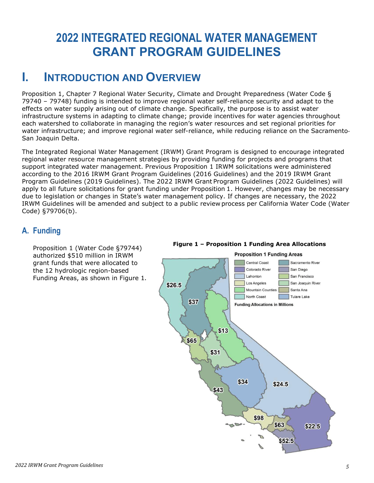## **2022 INTEGRATED REGIONAL WATER MANAGEMENT GRANT PROGRAM GUIDELINES**

## <span id="page-5-0"></span>**I. INTRODUCTION AND OVERVIEW**

Proposition 1, Chapter 7 Regional Water Security, Climate and Drought Preparedness (Water Code § 79740 – 79748) funding is intended to improve regional water self-reliance security and adapt to the effects on water supply arising out of climate change. Specifically, the purpose is to assist water infrastructure systems in adapting to climate change; provide incentives for water agencies throughout each watershed to collaborate in managing the region's water resources and set regional priorities for water infrastructure; and improve regional water self-reliance, while reducing reliance on the Sacramento-San Joaquin Delta.

The Integrated Regional Water Management (IRWM) Grant Program is designed to encourage integrated regional water resource management strategies by providing funding for projects and programs that support integrated water management. Previous Proposition 1 IRWM solicitations were administered according to the 2016 IRWM Grant Program Guidelines (2016 Guidelines) and the 2019 IRWM Grant Program Guidelines (2019 Guidelines). The 2022 IRWM Grant Program Guidelines (2022 Guidelines) will apply to all future solicitations for grant funding under Proposition 1. However, changes may be necessary due to legislation or changes in State's water management policy. If changes are necessary, the 2022 IRWM Guidelines will be amended and subject to a public review process per California Water Code (Water Code) §79706(b).

### <span id="page-5-1"></span>**A. Funding**

Proposition 1 (Water Code §79744) authorized \$510 million in IRWM grant funds that were allocated to the 12 hydrologic region-based Funding Areas, as shown in Figure 1.



#### **Figure 1 – Proposition 1 Funding Area Allocations**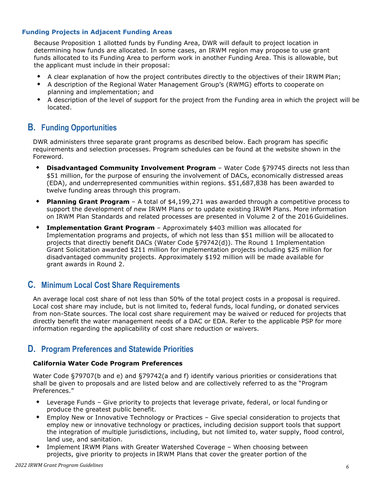#### **Funding Projects in Adjacent Funding Areas**

Because Proposition 1 allotted funds by Funding Area, DWR will default to project location in determining how funds are allocated. In some cases, an IRWM region may propose to use grant funds allocated to its Funding Area to perform work in another Funding Area. This is allowable, but the applicant must include in their proposal:

- A clear explanation of how the project contributes directly to the objectives of their IRWM Plan;
- A description of the Regional Water Management Group's (RWMG) efforts to cooperate on planning and implementation; and
- A description of the level of support for the project from the Funding area in which the project will be located.

### <span id="page-6-0"></span>**B. Funding Opportunities**

DWR administers three separate grant programs as described below. Each program has specific requirements and selection processes. Program schedules can be found at the website shown in the Foreword.

- **Disadvantaged Community Involvement Program**  Water Code §79745 directs not less than \$51 million, for the purpose of ensuring the involvement of DACs, economically distressed areas (EDA), and underrepresented communities within regions. \$51,687,838 has been awarded to twelve funding areas through this program.
- **Planning Grant Program**  A total of \$4,199,271 was awarded through a competitive process to support the development of new IRWM Plans or to update existing IRWM Plans. More information on IRWM Plan Standards and related processes are presented in Volume 2 of the 2016 Guidelines.
- **Implementation Grant Program**  Approximately \$403 million was allocated for Implementation programs and projects, of which not less than \$51 million will be allocated to projects that directly benefit DACs (Water Code §79742(d)). The Round 1 Implementation Grant Solicitation awarded \$211 million for implementation projects including \$25 million for disadvantaged community projects. Approximately \$192 million will be made available for grant awards in Round 2.

### <span id="page-6-1"></span>**C. Minimum Local Cost Share Requirements**

An average local cost share of not less than 50% of the total project costs in a proposal is required. Local cost share may include, but is not limited to, federal funds, local funding, or donated services from non-State sources. The local cost share requirement may be waived or reduced for projects that directly benefit the water management needs of a DAC or EDA. Refer to the applicable PSP for more information regarding the applicability of cost share reduction or waivers.

### <span id="page-6-2"></span>**D. Program Preferences and Statewide Priorities**

#### **California Water Code Program Preferences**

Water Code §79707(b and e) and §79742(a and f) identify various priorities or considerations that shall be given to proposals and are listed below and are collectively referred to as the "Program Preferences."

- Leverage Funds Give priority to projects that leverage private, federal, or local funding or produce the greatest public benefit.
- Employ New or Innovative Technology or Practices Give special consideration to projects that employ new or innovative technology or practices, including decision support tools that support the integration of multiple jurisdictions, including, but not limited to, water supply, flood control, land use, and sanitation.
- Implement IRWM Plans with Greater Watershed Coverage When choosing between projects, give priority to projects in IRWM Plans that cover the greater portion of the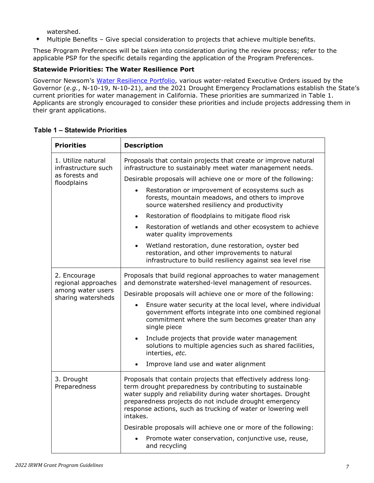watershed.

Multiple Benefits – Give special consideration to projects that achieve multiple benefits.

These Program Preferences will be taken into consideration during the review process; refer to the applicable PSP for the specific details regarding the application of the Program Preferences.

#### **Statewide Priorities: The Water Resilience Port**

Governor Newsom's [Water Resilience Portfolio,](https://resources.ca.gov/Initiatives/Building-Water-Resilience/portfolio) various water-related Executive Orders issued by the Governor (*e.g.*, N-10-19, N-10-21), and the 2021 Drought Emergency Proclamations establish the State's current priorities for water management in California. These priorities are summarized in Table 1. Applicants are strongly encouraged to consider these priorities and include projects addressing them in their grant applications.

| <b>Priorities</b>                         | <b>Description</b>                                                                                                                                                                                                                                                                                                               |  |  |
|-------------------------------------------|----------------------------------------------------------------------------------------------------------------------------------------------------------------------------------------------------------------------------------------------------------------------------------------------------------------------------------|--|--|
| 1. Utilize natural<br>infrastructure such | Proposals that contain projects that create or improve natural<br>infrastructure to sustainably meet water management needs.                                                                                                                                                                                                     |  |  |
| as forests and<br>floodplains             | Desirable proposals will achieve one or more of the following:                                                                                                                                                                                                                                                                   |  |  |
|                                           | Restoration or improvement of ecosystems such as<br>$\bullet$<br>forests, mountain meadows, and others to improve<br>source watershed resiliency and productivity                                                                                                                                                                |  |  |
|                                           | Restoration of floodplains to mitigate flood risk<br>$\bullet$                                                                                                                                                                                                                                                                   |  |  |
|                                           | Restoration of wetlands and other ecosystem to achieve<br>$\bullet$<br>water quality improvements                                                                                                                                                                                                                                |  |  |
|                                           | Wetland restoration, dune restoration, oyster bed<br>$\bullet$<br>restoration, and other improvements to natural<br>infrastructure to build resiliency against sea level rise                                                                                                                                                    |  |  |
| 2. Encourage<br>regional approaches       | Proposals that build regional approaches to water management<br>and demonstrate watershed-level management of resources.                                                                                                                                                                                                         |  |  |
| among water users<br>sharing watersheds   | Desirable proposals will achieve one or more of the following:                                                                                                                                                                                                                                                                   |  |  |
|                                           | Ensure water security at the local level, where individual<br>government efforts integrate into one combined regional<br>commitment where the sum becomes greater than any<br>single piece                                                                                                                                       |  |  |
|                                           | Include projects that provide water management<br>$\bullet$<br>solutions to multiple agencies such as shared facilities,<br>interties, etc.                                                                                                                                                                                      |  |  |
|                                           | Improve land use and water alignment                                                                                                                                                                                                                                                                                             |  |  |
| 3. Drought<br>Preparedness                | Proposals that contain projects that effectively address long-<br>term drought preparedness by contributing to sustainable<br>water supply and reliability during water shortages. Drought<br>preparedness projects do not include drought emergency<br>response actions, such as trucking of water or lowering well<br>intakes. |  |  |
|                                           | Desirable proposals will achieve one or more of the following:                                                                                                                                                                                                                                                                   |  |  |
|                                           | Promote water conservation, conjunctive use, reuse,<br>and recycling                                                                                                                                                                                                                                                             |  |  |

#### **Table 1 – Statewide Priorities**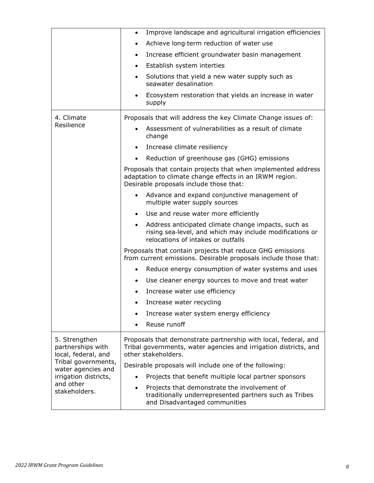|                                                           | Improve landscape and agricultural irrigation efficiencies<br>٠                                                                                                     |
|-----------------------------------------------------------|---------------------------------------------------------------------------------------------------------------------------------------------------------------------|
|                                                           | Achieve long-term reduction of water use                                                                                                                            |
|                                                           | Increase efficient groundwater basin management<br>$\bullet$                                                                                                        |
|                                                           | Establish system interties<br>$\bullet$                                                                                                                             |
|                                                           | Solutions that yield a new water supply such as<br>seawater desalination                                                                                            |
|                                                           | Ecosystem restoration that yields an increase in water<br>supply                                                                                                    |
| 4. Climate                                                | Proposals that will address the key Climate Change issues of:                                                                                                       |
| Resilience                                                | Assessment of vulnerabilities as a result of climate<br>change                                                                                                      |
|                                                           | Increase climate resiliency<br>$\bullet$                                                                                                                            |
|                                                           | Reduction of greenhouse gas (GHG) emissions<br>$\bullet$                                                                                                            |
|                                                           | Proposals that contain projects that when implemented address<br>adaptation to climate change effects in an IRWM region.<br>Desirable proposals include those that: |
|                                                           | Advance and expand conjunctive management of<br>multiple water supply sources                                                                                       |
|                                                           | Use and reuse water more efficiently<br>$\bullet$                                                                                                                   |
|                                                           | Address anticipated climate change impacts, such as<br>rising sea-level, and which may include modifications or<br>relocations of intakes or outfalls               |
|                                                           | Proposals that contain projects that reduce GHG emissions<br>from current emissions. Desirable proposals include those that:                                        |
|                                                           | Reduce energy consumption of water systems and uses                                                                                                                 |
|                                                           | Use cleaner energy sources to move and treat water                                                                                                                  |
|                                                           | Increase water use efficiency                                                                                                                                       |
|                                                           | Increase water recycling                                                                                                                                            |
|                                                           | Increase water system energy efficiency                                                                                                                             |
|                                                           | Reuse runoff                                                                                                                                                        |
| 5. Strengthen<br>partnerships with<br>local, federal, and | Proposals that demonstrate partnership with local, federal, and<br>Tribal governments, water agencies and irrigation districts, and<br>other stakeholders.          |
| Tribal governments,<br>water agencies and                 | Desirable proposals will include one of the following:                                                                                                              |
| irrigation districts,                                     | Projects that benefit multiple local partner sponsors                                                                                                               |
| and other<br>stakeholders.                                | Projects that demonstrate the involvement of<br>$\bullet$<br>traditionally underrepresented partners such as Tribes<br>and Disadvantaged communities                |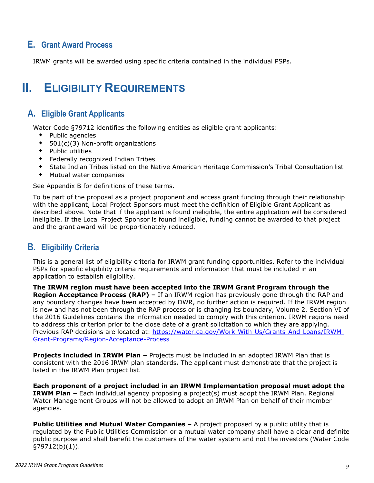### <span id="page-9-0"></span>**E. Grant Award Process**

IRWM grants will be awarded using specific criteria contained in the individual PSPs.

## <span id="page-9-1"></span>**II. ELIGIBILITY REQUIREMENTS**

### <span id="page-9-2"></span>**A. Eligible Grant Applicants**

Water Code §79712 identifies the following entities as eligible grant applicants:

- Public agencies
- ◆ 501(c)(3) Non-profit organizations
- Public utilities
- Federally recognized Indian Tribes
- State Indian Tribes listed on the Native American Heritage Commission's Tribal Consultation list
- Mutual water companies

See Appendix B for definitions of these terms.

To be part of the proposal as a project proponent and access grant funding through their relationship with the applicant, Local Project Sponsors must meet the definition of Eligible Grant Applicant as described above. Note that if the applicant is found ineligible, the entire application will be considered ineligible. If the Local Project Sponsor is found ineligible, funding cannot be awarded to that project and the grant award will be proportionately reduced.

### <span id="page-9-3"></span>**B. Eligibility Criteria**

This is a general list of eligibility criteria for IRWM grant funding opportunities. Refer to the individual PSPs for specific eligibility criteria requirements and information that must be included in an application to establish eligibility.

**The IRWM region must have been accepted into the IRWM Grant Program through the Region Acceptance Process (RAP) –** If an IRWM region has previously gone through the RAP and any boundary changes have been accepted by DWR, no further action is required. If the IRWM region is new and has not been through the RAP process or is changing its boundary, Volume 2, Section VI of the 2016 Guidelines contains the information needed to comply with this criterion. IRWM regions need to address this criterion prior to the close date of a grant solicitation to which they are applying. Previous RAP decisions are located at: [https://water.ca.gov/Work-With-Us/Grants-And-Loans/IRWM-](https://water.ca.gov/Work-With-Us/Grants-And-Loans/IRWM-Grant-Programs/Region-Acceptance-Process)[Grant-Programs/Region-Acceptance-Process](https://water.ca.gov/Work-With-Us/Grants-And-Loans/IRWM-Grant-Programs/Region-Acceptance-Process)

**Projects included in IRWM Plan –** Projects must be included in an adopted IRWM Plan that is consistent with the 2016 IRWM plan standards**.** The applicant must demonstrate that the project is listed in the IRWM Plan project list.

**Each proponent of a project included in an IRWM Implementation proposal must adopt the IRWM Plan –** Each individual agency proposing a project(s) must adopt the IRWM Plan. Regional Water Management Groups will not be allowed to adopt an IRWM Plan on behalf of their member agencies.

**Public Utilities and Mutual Water Companies - A project proposed by a public utility that is** regulated by the Public Utilities Commission or a mutual water company shall have a clear and definite public purpose and shall benefit the customers of the water system and not the investors (Water Code §79712(b)(1)).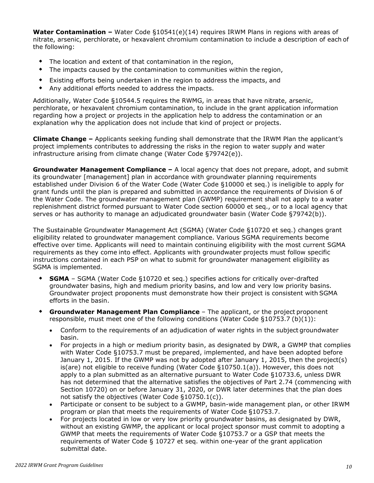**Water Contamination –** Water Code §10541(e)(14) requires IRWM Plans in regions with areas of nitrate, arsenic, perchlorate, or hexavalent chromium contamination to include a description of each of the following:

- The location and extent of that contamination in the region,
- The impacts caused by the contamination to communities within the region,
- Existing efforts being undertaken in the region to address the impacts, and
- Any additional efforts needed to address the impacts.

Additionally, Water Code §10544.5 requires the RWMG, in areas that have nitrate, arsenic, perchlorate, or hexavalent chromium contamination, to include in the grant application information regarding how a project or projects in the application help to address the contamination or an explanation why the application does not include that kind of project or projects.

**Climate Change –** Applicants seeking funding shall demonstrate that the IRWM Plan the applicant's project implements contributes to addressing the risks in the region to water supply and water infrastructure arising from climate change (Water Code §79742(e)).

**Groundwater Management Compliance –** A local agency that does not prepare, adopt, and submit its groundwater [management] plan in accordance with groundwater planning requirements established under Division 6 of the Water Code (Water Code §10000 et seq.) is ineligible to apply for grant funds until the plan is prepared and submitted in accordance the requirements of Division 6 of the Water Code. The groundwater management plan (GWMP) requirement shall not apply to a water replenishment district formed pursuant to Water Code section 60000 et seq., or to a local agency that serves or has authority to manage an adjudicated groundwater basin (Water Code §79742(b)).

The Sustainable Groundwater Management Act (SGMA) (Water Code §10720 et seq.) changes grant eligibility related to groundwater management compliance. Various SGMA requirements become effective over time. Applicants will need to maintain continuing eligibility with the most current SGMA requirements as they come into effect. Applicants with groundwater projects must follow specific instructions contained in each PSP on what to submit for groundwater management eligibility as SGMA is implemented.

- **SGMA** *–* SGMA (Water Code §10720 et seq.) specifies actions for critically over-drafted groundwater basins, high and medium priority basins, and low and very low priority basins. Groundwater project proponents must demonstrate how their project is consistent with SGMA efforts in the basin.
- **Groundwater Management Plan Compliance**  The applicant, or the project proponent responsible, must meet one of the following conditions (Water Code §10753.7 (b)(1)):
	- Conform to the requirements of an adjudication of water rights in the subject groundwater basin.
	- For projects in a high or medium priority basin, as designated by DWR, a GWMP that complies with Water Code §10753.7 must be prepared, implemented, and have been adopted before January 1, 2015. If the GWMP was not by adopted after January 1, 2015, then the project(s) is(are) not eligible to receive funding (Water Code §10750.1(a)). However, this does not apply to a plan submitted as an alternative pursuant to Water Code §10733.6, unless DWR has not determined that the alternative satisfies the objectives of Part 2.74 (commencing with Section 10720) on or before January 31, 2020, or DWR later determines that the plan does not satisfy the objectives (Water Code §10750.1(c)).
	- Participate or consent to be subject to a GWMP, basin-wide management plan, or other IRWM program or plan that meets the requirements of Water Code §10753.7.
	- For projects located in low or very low priority groundwater basins, as designated by DWR, without an existing GWMP, the applicant or local project sponsor must commit to adopting a GWMP that meets the requirements of Water Code §10753.7 or a GSP that meets the requirements of Water Code § 10727 et seq. within one-year of the grant application submittal date.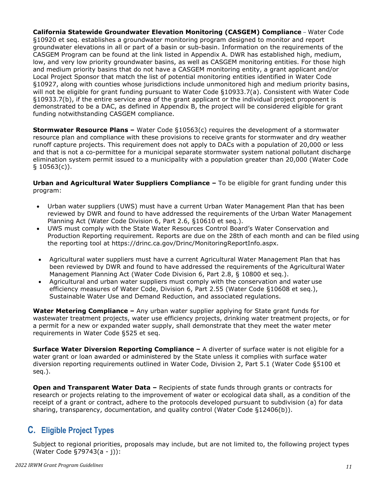**California Statewide Groundwater Elevation Monitoring (CASGEM) Compliance** *–* Water Code §10920 et seq. establishes a groundwater monitoring program designed to monitor and report groundwater elevations in all or part of a basin or sub-basin. Information on the requirements of the CASGEM Program can be found at the link listed in Appendix A. DWR has established high, medium, low, and very low priority groundwater basins, as well as CASGEM monitoring entities. For those high and medium priority basins that do not have a CASGEM monitoring entity, a grant applicant and/or Local Project Sponsor that match the list of potential monitoring entities identified in Water Code §10927, along with counties whose jurisdictions include unmonitored high and medium priority basins, will not be eligible for grant funding pursuant to Water Code §10933.7(a). Consistent with Water Code §10933.7(b), if the entire service area of the grant applicant or the individual project proponent is demonstrated to be a DAC, as defined in Appendix B, the project will be considered eligible for grant funding notwithstanding CASGEM compliance.

**Stormwater Resource Plans –** Water Code §10563(c) requires the development of a stormwater resource plan and compliance with these provisions to receive grants for stormwater and dry weather runoff capture projects. This requirement does not apply to DACs with a population of 20,000 or less and that is not a co-permittee for a municipal separate stormwater system national pollutant discharge elimination system permit issued to a municipality with a population greater than 20,000 (Water Code  $§$  10563(c)).

**Urban and Agricultural Water Suppliers Compliance –** To be eligible for grant funding under this program:

- Urban water suppliers (UWS) must have a current Urban Water Management Plan that has been reviewed by DWR and found to have addressed the requirements of the Urban Water Management Planning Act (Water Code Division 6, Part 2.6, §10610 et seq.).
- UWS must comply with the State Water Resources Control Board's Water Conservation and Production Reporting requirement. Reports are due on the 28th of each month and can be filed using the reporting tool at [https://drinc.ca.gov/Drinc/MonitoringReportInfo.aspx.](https://gcc02.safelinks.protection.outlook.com/?url=https%3A%2F%2Fdrinc.ca.gov%2FDrinc%2FMonitoringReportInfo.aspx&data=04%7C01%7C%7C2dd49d72da2a4a849e5108d98204432a%7Cb71d56524b834257afcd7fd177884564%7C0%7C0%7C637683777088142775%7CUnknown%7CTWFpbGZsb3d8eyJWIjoiMC4wLjAwMDAiLCJQIjoiV2luMzIiLCJBTiI6Ik1haWwiLCJXVCI6Mn0%3D%7C1000&sdata=pu1URg7PkEc7Y2Dxna6RjOiyOwdIPOCsfbOh53KFdiU%3D&reserved=0)
- Agricultural water suppliers must have a current Agricultural Water Management Plan that has been reviewed by DWR and found to have addressed the requirements of the Agricultural Water Management Planning Act (Water Code Division 6, Part 2.8, § 10800 et seq.).
- Agricultural and urban water suppliers must comply with the conservation and water use efficiency measures of Water Code, Division 6, Part 2.55 (Water Code §10608 et seq.), Sustainable Water Use and Demand Reduction, and associated regulations.

**Water Metering Compliance –** Any urban water supplier applying for State grant funds for wastewater treatment projects, water use efficiency projects, drinking water treatment projects, or for a permit for a new or expanded water supply, shall demonstrate that they meet the water meter requirements in Water Code §525 et seq.

**Surface Water Diversion Reporting Compliance –** A diverter of surface water is not eligible for a water grant or loan awarded or administered by the State unless it complies with surface water diversion reporting requirements outlined in Water Code, Division 2, Part 5.1 (Water Code §5100 et seq.).

**Open and Transparent Water Data –** Recipients of state funds through grants or contracts for research or projects relating to the improvement of water or ecological data shall, as a condition of the receipt of a grant or contract, adhere to the protocols developed pursuant to subdivision (a) for data sharing, transparency, documentation, and quality control (Water Code §12406(b)).

## <span id="page-11-0"></span>**C. Eligible Project Types**

Subject to regional priorities, proposals may include, but are not limited to, the following project types (Water Code §79743(a - j)):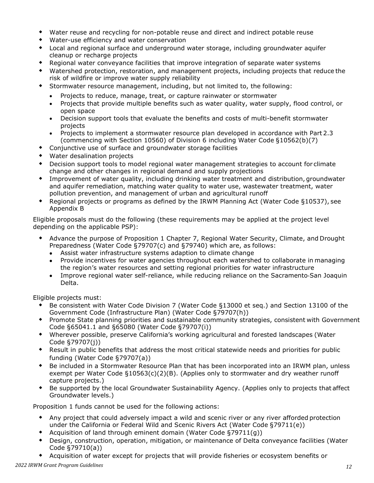- Water reuse and recycling for non-potable reuse and direct and indirect potable reuse
- Water-use efficiency and water conservation
- Local and regional surface and underground water storage, including groundwater aquifer cleanup or recharge projects
- Regional water conveyance facilities that improve integration of separate water systems
- Watershed protection, restoration, and management projects, including projects that reduce the risk of wildfire or improve water supply reliability
- Stormwater resource management, including, but not limited to, the following:
	- Projects to reduce, manage, treat, or capture rainwater or stormwater
	- Projects that provide multiple benefits such as water quality, water supply, flood control, or open space
	- Decision support tools that evaluate the benefits and costs of multi-benefit stormwater projects
	- Projects to implement a stormwater resource plan developed in accordance with Part 2.3 (commencing with Section 10560) of Division 6 including Water Code §10562(b)(7)
- Conjunctive use of surface and groundwater storage facilities
- Water desalination projects
- Decision support tools to model regional water management strategies to account for climate change and other changes in regional demand and supply projections
- Improvement of water quality, including drinking water treatment and distribution, groundwater and aquifer remediation, matching water quality to water use, wastewater treatment, water pollution prevention, and management of urban and agricultural runoff
- Regional projects or programs as defined by the IRWM Planning Act (Water Code §10537), see Appendix B

Eligible proposals must do the following (these requirements may be applied at the project level depending on the applicable PSP):

- Advance the purpose of Proposition 1 Chapter 7, Regional Water Security, Climate, and Drought Preparedness (Water Code §79707(c) and §79740) which are, as follows:
	- Assist water infrastructure systems adaption to climate change
	- Provide incentives for water agencies throughout each watershed to collaborate in managing the region's water resources and setting regional priorities for water infrastructure
	- Improve regional water self-reliance, while reducing reliance on the Sacramento-San Joaquin Delta.

Eligible projects must:

- Be consistent with Water Code Division 7 (Water Code §13000 et seq.) and Section 13100 of the Government Code (Infrastructure Plan) (Water Code §79707(h))
- Promote State planning priorities and sustainable community strategies, consistent with Government Code §65041.1 and §65080 (Water Code §79707(i))
- Wherever possible, preserve California's working agricultural and forested landscapes (Water Code §79707(j))
- Result in public benefits that address the most critical statewide needs and priorities for public funding (Water Code §79707(a))
- Be included in a Stormwater Resource Plan that has been incorporated into an IRWM plan, unless exempt per Water Code §10563(c)(2)(B). (Applies only to stormwater and dry weather runoff capture projects.)
- Be supported by the local Groundwater Sustainability Agency. (Applies only to projects that affect Groundwater levels.)

Proposition 1 funds cannot be used for the following actions:

- Any project that could adversely impact a wild and scenic river or any river afforded protection under the California or Federal Wild and Scenic Rivers Act (Water Code §79711(e))
- Acquisition of land through eminent domain (Water Code §79711(g))
- Design, construction, operation, mitigation, or maintenance of Delta conveyance facilities (Water Code §79710(a))
- Acquisition of water except for projects that will provide fisheries or ecosystem benefits or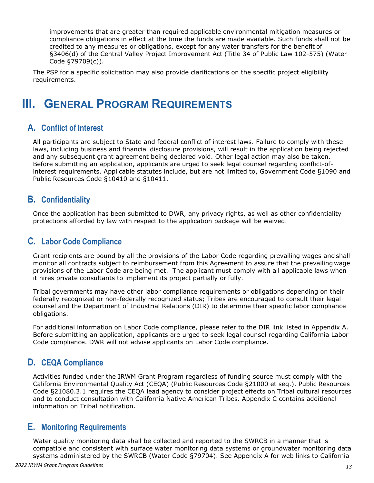improvements that are greater than required applicable environmental mitigation measures or compliance obligations in effect at the time the funds are made available. Such funds shall not be credited to any measures or obligations, except for any water transfers for the benefit of §3406(d) of the Central Valley Project Improvement Act (Title 34 of Public Law 102-575) (Water Code §79709(c)).

The PSP for a specific solicitation may also provide clarifications on the specific project eligibility requirements.

## <span id="page-13-0"></span>**III. GENERAL PROGRAM REQUIREMENTS**

### <span id="page-13-1"></span>**A. Conflict of Interest**

All participants are subject to State and federal conflict of interest laws. Failure to comply with these laws, including business and financial disclosure provisions, will result in the application being rejected and any subsequent grant agreement being declared void. Other legal action may also be taken. Before submitting an application, applicants are urged to seek legal counsel regarding conflict-ofinterest requirements. Applicable statutes include, but are not limited to, Government Code §1090 and Public Resources Code §10410 and §10411.

### <span id="page-13-2"></span>**B. Confidentiality**

Once the application has been submitted to DWR, any privacy rights, as well as other confidentiality protections afforded by law with respect to the application package will be waived.

### <span id="page-13-3"></span>**C. Labor Code Compliance**

Grant recipients are bound by all the provisions of the Labor Code regarding prevailing wages and shall monitor all contracts subject to reimbursement from this Agreement to assure that the prevailing wage provisions of the Labor Code are being met. The applicant must comply with all applicable laws when it hires private consultants to implement its project partially or fully.

Tribal governments may have other labor compliance requirements or obligations depending on their federally recognized or non-federally recognized status; Tribes are encouraged to consult their legal counsel and the Department of Industrial Relations (DIR) to determine their specific labor compliance obligations.

For additional information on Labor Code compliance, please refer to the DIR link listed in Appendix A. Before submitting an application, applicants are urged to seek legal counsel regarding California Labor Code compliance. DWR will not advise applicants on Labor Code compliance.

## <span id="page-13-4"></span>**D. CEQA Compliance**

Activities funded under the IRWM Grant Program regardless of funding source must comply with the California Environmental Quality Act (CEQA) (Public Resources Code §21000 et seq.). Public Resources Code §21080.3.1 requires the CEQA lead agency to consider project effects on Tribal cultural resources and to conduct consultation with California Native American Tribes. Appendix C contains additional information on Tribal notification.

### <span id="page-13-5"></span>**E. Monitoring Requirements**

Water quality monitoring data shall be collected and reported to the SWRCB in a manner that is compatible and consistent with surface water monitoring data systems or groundwater monitoring data systems administered by the SWRCB (Water Code §79704). See Appendix A for web links to California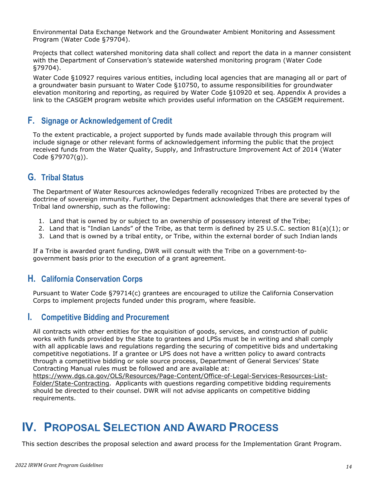Environmental Data Exchange Network and the Groundwater Ambient Monitoring and Assessment Program (Water Code §79704).

Projects that collect watershed monitoring data shall collect and report the data in a manner consistent with the Department of Conservation's statewide watershed monitoring program (Water Code §79704).

Water Code §10927 requires various entities, including local agencies that are managing all or part of a groundwater basin pursuant to Water Code §10750, to assume responsibilities for groundwater elevation monitoring and reporting, as required by Water Code §10920 et seq. Appendix A provides a link to the CASGEM program website which provides useful information on the CASGEM requirement.

### <span id="page-14-0"></span>**F. Signage or Acknowledgement of Credit**

To the extent practicable, a project supported by funds made available through this program will include signage or other relevant forms of acknowledgement informing the public that the project received funds from the Water Quality, Supply, and Infrastructure Improvement Act of 2014 (Water Code §79707(g)).

### <span id="page-14-1"></span>**G. Tribal Status**

The Department of Water Resources acknowledges federally recognized Tribes are protected by the doctrine of sovereign immunity. Further, the Department acknowledges that there are several types of Tribal land ownership, such as the following:

- 1. Land that is owned by or subject to an ownership of possessory interest of the Tribe;
- 2. Land that is "Indian Lands" of the Tribe, as that term is defined by 25 U.S.C. section 81(a)(1); or
- 3. Land that is owned by a tribal entity, or Tribe, within the external border of such Indian lands

If a Tribe is awarded grant funding, DWR will consult with the Tribe on a government-togovernment basis prior to the execution of a grant agreement.

### <span id="page-14-2"></span>**H. California Conservation Corps**

Pursuant to Water Code §79714(c) grantees are encouraged to utilize the California Conservation Corps to implement projects funded under this program, where feasible.

#### <span id="page-14-3"></span>**I. Competitive Bidding and Procurement**

All contracts with other entities for the acquisition of goods, services, and construction of public works with funds provided by the State to grantees and LPSs must be in writing and shall comply with all applicable laws and regulations regarding the securing of competitive bids and undertaking competitive negotiations. If a grantee or LPS does not have a written policy to award contracts through a competitive bidding or sole source process, Department of General Services' State Contracting Manual rules must be followed and are available at:

https://www.dgs.ca.gov/OLS/Resources/Page-Content/Office-of-Legal-Services-Resources-List-Folder/State-Contracting. Applicants with questions regarding competitive bidding requirements should be directed to their counsel. DWR will not advise applicants on competitive bidding requirements.

## <span id="page-14-4"></span>**IV. PROPOSAL SELECTION AND AWARD PROCESS**

This section describes the proposal selection and award process for the Implementation Grant Program.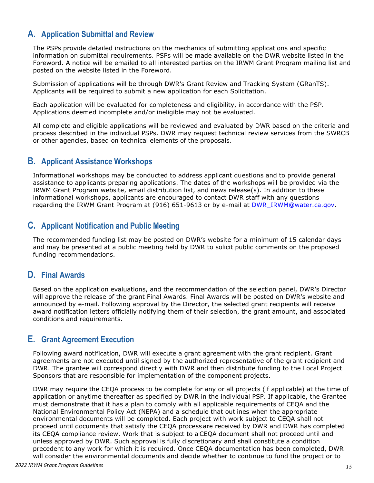### <span id="page-15-0"></span>**A. Application Submittal and Review**

The PSPs provide detailed instructions on the mechanics of submitting applications and specific information on submittal requirements. PSPs will be made available on the DWR website listed in the Foreword. A notice will be emailed to all interested parties on the IRWM Grant Program mailing list and posted on the website listed in the Foreword.

Submission of applications will be through DWR's Grant Review and Tracking System (GRanTS). Applicants will be required to submit a new application for each Solicitation.

Each application will be evaluated for completeness and eligibility, in accordance with the PSP. Applications deemed incomplete and/or ineligible may not be evaluated.

All complete and eligible applications will be reviewed and evaluated by DWR based on the criteria and process described in the individual PSPs. DWR may request technical review services from the SWRCB or other agencies, based on technical elements of the proposals.

### <span id="page-15-1"></span>**B. Applicant Assistance Workshops**

Informational workshops may be conducted to address applicant questions and to provide general assistance to applicants preparing applications. The dates of the workshops will be provided via the IRWM Grant Program website, email distribution list, and news release(s). In addition to these informational workshops, applicants are encouraged to contact DWR staff with any questions regarding the IRWM Grant Program at (916) 651-9613 or by e-mail at [DWR\\_IRWM@water.ca.gov.](mailto:DWR_IRWM@water.ca.gov)

### <span id="page-15-2"></span>**C. Applicant Notification and Public Meeting**

The recommended funding list may be posted on DWR's website for a minimum of 15 calendar days and may be presented at a public meeting held by DWR to solicit public comments on the proposed funding recommendations.

### <span id="page-15-3"></span>**D. Final Awards**

Based on the application evaluations, and the recommendation of the selection panel, DWR's Director will approve the release of the grant Final Awards. Final Awards will be posted on DWR's website and announced by e-mail. Following approval by the Director, the selected grant recipients will receive award notification letters officially notifying them of their selection, the grant amount, and associated conditions and requirements.

### <span id="page-15-4"></span>**E. Grant Agreement Execution**

Following award notification, DWR will execute a grant agreement with the grant recipient. Grant agreements are not executed until signed by the authorized representative of the grant recipient and DWR. The grantee will correspond directly with DWR and then distribute funding to the Local Project Sponsors that are responsible for implementation of the component projects.

DWR may require the CEQA process to be complete for any or all projects (if applicable) at the time of application or anytime thereafter as specified by DWR in the individual PSP. If applicable, the Grantee must demonstrate that it has a plan to comply with all applicable requirements of CEQA and the National Environmental Policy Act (NEPA) and a schedule that outlines when the appropriate environmental documents will be completed. Each project with work subject to CEQA shall not proceed until documents that satisfy the CEQA process are received by DWR and DWR has completed its CEQA compliance review. Work that is subject to a CEQA document shall not proceed until and unless approved by DWR. Such approval is fully discretionary and shall constitute a condition precedent to any work for which it is required. Once CEQA documentation has been completed, DWR will consider the environmental documents and decide whether to continue to fund the project or to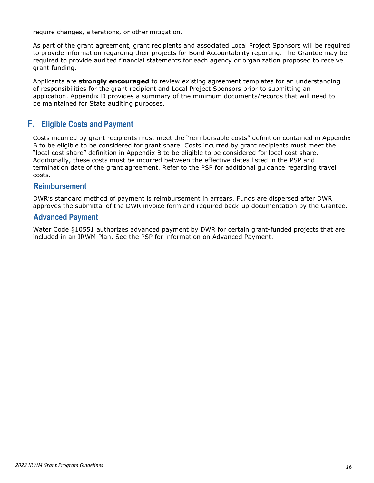require changes, alterations, or other mitigation.

As part of the grant agreement, grant recipients and associated Local Project Sponsors will be required to provide information regarding their projects for Bond Accountability reporting. The Grantee may be required to provide audited financial statements for each agency or organization proposed to receive grant funding.

Applicants are **strongly encouraged** to review existing agreement templates for an understanding of responsibilities for the grant recipient and Local Project Sponsors prior to submitting an application. Appendix D provides a summary of the minimum documents/records that will need to be maintained for State auditing purposes.

### <span id="page-16-0"></span>**F. Eligible Costs and Payment**

Costs incurred by grant recipients must meet the "reimbursable costs" definition contained in Appendix B to be eligible to be considered for grant share. Costs incurred by grant recipients must meet the "local cost share" definition in Appendix B to be eligible to be considered for local cost share. Additionally, these costs must be incurred between the effective dates listed in the PSP and termination date of the grant agreement. Refer to the PSP for additional guidance regarding travel costs.

#### **Reimbursement**

DWR's standard method of payment is reimbursement in arrears. Funds are dispersed after DWR approves the submittal of the DWR invoice form and required back-up documentation by the Grantee.

#### **Advanced Payment**

Water Code §10551 authorizes advanced payment by DWR for certain grant-funded projects that are included in an IRWM Plan. See the PSP for information on Advanced Payment.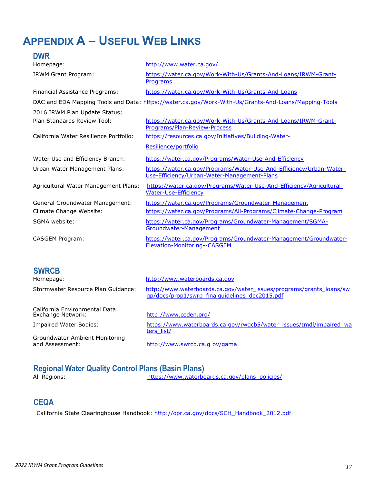## <span id="page-17-0"></span>**APPENDIX A – USEFUL WEB LINKS**

| <b>DWR</b>                                                   |                                                                                                                           |
|--------------------------------------------------------------|---------------------------------------------------------------------------------------------------------------------------|
| Homepage:                                                    | http://www.water.ca.gov/                                                                                                  |
| IRWM Grant Program:                                          | https://water.ca.gov/Work-With-Us/Grants-And-Loans/IRWM-Grant-<br>Programs                                                |
| Financial Assistance Programs:                               | https://water.ca.gov/Work-With-Us/Grants-And-Loans                                                                        |
|                                                              | DAC and EDA Mapping Tools and Data: https://water.ca.gov/Work-With-Us/Grants-And-Loans/Mapping-Tools                      |
| 2016 IRWM Plan Update Status;<br>Plan Standards Review Tool: | https://water.ca.gov/Work-With-Us/Grants-And-Loans/IRWM-Grant-<br>Programs/Plan-Review-Process                            |
| California Water Resilience Portfolio:                       | https://resources.ca.gov/Initiatives/Building-Water-<br>Resilience/portfolio                                              |
| Water Use and Efficiency Branch:                             | https://water.ca.gov/Programs/Water-Use-And-Efficiency                                                                    |
| Urban Water Management Plans:                                | https://water.ca.gov/Programs/Water-Use-And-Efficiency/Urban-Water-<br>Use-Efficiency/Urban-Water-Management-Plans        |
| Agricultural Water Management Plans:                         | https://water.ca.gov/Programs/Water-Use-And-Efficiency/Agricultural-<br><b>Water-Use-Efficiency</b>                       |
| General Groundwater Management:<br>Climate Change Website:   | https://water.ca.gov/Programs/Groundwater-Management<br>https://water.ca.gov/Programs/All-Programs/Climate-Change-Program |
| SGMA website:                                                | https://water.ca.gov/Programs/Groundwater-Management/SGMA-<br>Groundwater-Management                                      |
| CASGEM Program:                                              | https://water.ca.gov/Programs/Groundwater-Management/Groundwater-                                                         |
|                                                              | Elevation-Monitoring--CASGEM                                                                                              |

| <b>SWRCB</b>                                       |                                                                                                                       |
|----------------------------------------------------|-----------------------------------------------------------------------------------------------------------------------|
| Homepage:                                          | http://www.waterboards.ca.gov                                                                                         |
| Stormwater Resource Plan Guidance:                 | http://www.waterboards.ca.gov/water_issues/programs/grants_loans/sw<br>gp/docs/prop1/swrp finalguidelines dec2015.pdf |
| California Environmental Data<br>Exchange Network: | http://www.ceden.org/                                                                                                 |
| Impaired Water Bodies:                             | https://www.waterboards.ca.gov/rwgcb5/water_issues/tmdl/impaired_wa<br>ters list/                                     |
| Groundwater Ambient Monitoring<br>and Assessment:  | http://www.swrcb.ca.gov/gama                                                                                          |

## **Regional Water Quality Control Plans (Basin Plans)**

[https://www.waterboards.ca.gov/plans\\_policies/](https://www.waterboards.ca.gov/plans_policies/)

## **CEQA**

California State Clearinghouse Handbook: [http://opr.ca.gov/docs/SCH\\_Handbook\\_2012.pdf](http://opr.ca.gov/docs/SCH_Handbook_2012.pdf)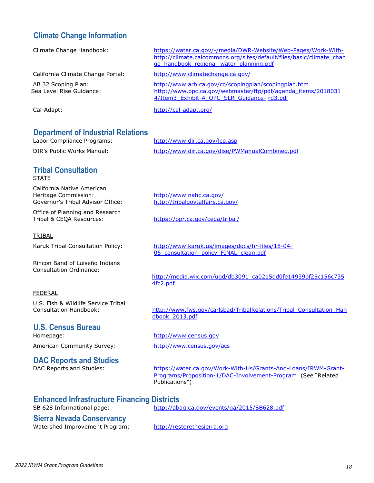#### **Climate Change Information**

| Climate Change Handbook:                                                | https://water.ca.gov/-/media/DWR-Website/Web-Pages/Work-With-<br>http://climate.calcommons.org/sites/default/files/basic/climate_chan<br>ge handbook regional water planning.pdf |
|-------------------------------------------------------------------------|----------------------------------------------------------------------------------------------------------------------------------------------------------------------------------|
| California Climate Change Portal:                                       | http://www.climatechange.ca.gov/                                                                                                                                                 |
| AB 32 Scoping Plan:<br>Sea Level Rise Guidance:                         | http://www.arb.ca.gov/cc/scopingplan/scopingplan.htm<br>http://www.opc.ca.gov/webmaster/ftp/pdf/agenda items/2018031<br>4/Item3 Exhibit-A OPC SLR Guidance-rd3.pdf               |
| Cal-Adapt:                                                              | http://cal-adapt.org/                                                                                                                                                            |
| <b>Department of Industrial Relations</b><br>Labor Compliance Programs: | http://www.dir.ca.gov/lcp.asp                                                                                                                                                    |

## DIR's Public Works Manual: <http://www.dir.ca.gov/dlse/PWManualCombined.pdf>

#### **Tribal Consultation STATE**

California Native American<br>Heritage Commission: Governor's Tribal Advisor Office: <http://tribalgovtaffairs.ca.gov/>

Office of Planning and Research Tribal & CEQA Resources: <https://opr.ca.gov/ceqa/tribal/>

#### TRIBAL

Rincon Band of Luiseño Indians Consultation Ordinance:

<http://www.nahc.ca.gov/>

Karuk Tribal Consultation Policy: [http://www.karuk.us/images/docs/hr-files/18-04-](http://www.karuk.us/images/docs/hr-files/18-04-05_consultation_policy_FINAL_clean.pdf) [05\\_consultation\\_policy\\_FINAL\\_clean.pdf](http://www.karuk.us/images/docs/hr-files/18-04-05_consultation_policy_FINAL_clean.pdf)

> [http://media.wix.com/ugd/db3091\\_ca0215dd0fe14939bf25c156c735](http://media.wix.com/ugd/db3091_ca0215dd0fe14939bf25c156c7354fc2.pdf) [4fc2.pdf](http://media.wix.com/ugd/db3091_ca0215dd0fe14939bf25c156c7354fc2.pdf)

#### FEDERAL

U.S. Fish & Wildlife Service Tribal<br>Consultation Handbook:

## **U.S. Census Bureau**

## **DAC Reports and Studies**

[http://www.fws.gov/carlsbad/TribalRelations/Tribal\\_Consultation\\_Han](http://www.fws.gov/carlsbad/TribalRelations/Tribal_Consultation_Han) [dbook\\_2013.pdf](http://www.fws.gov/carlsbad/TribalRelations/Tribal_Consultation_Handbook_2013.pdf)

#### [http://www.census.gov](http://www.census.gov/)

American Community Survey: <http://www.census.gov/acs>

[https://water.ca.gov/Work-With-Us/Grants-And-Loans/IRWM-Grant-](https://water.ca.gov/Work-With-Us/Grants-And-Loans/IRWM-Grant-Programs/Proposition-1/DAC-Involvement-Program)[Programs/Proposition-1/DAC-Involvement-Program](https://water.ca.gov/Work-With-Us/Grants-And-Loans/IRWM-Grant-Programs/Proposition-1/DAC-Involvement-Program) (See "RelatedPublications")

#### **Enhanced Infrastructure Financing Districts**

SB 628 Informational page: <http://abag.ca.gov/events/ga/2015/SB628.pdf>

### **Sierra Nevada Conservancy**

Watershed Improvement Program: [http://restorethesierra.org](http://restorethesierra.org/)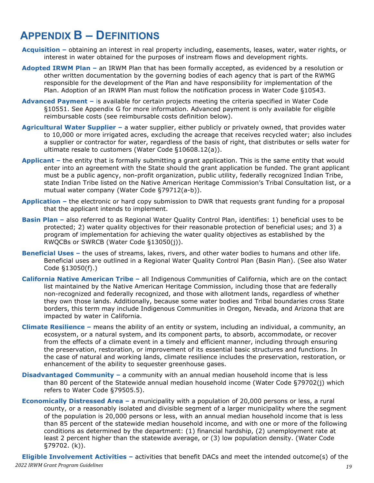## <span id="page-19-0"></span>**APPENDIX B – DEFINITIONS**

- **Acquisition –** obtaining an interest in real property including, easements, leases, water, water rights, or interest in water obtained for the purposes of instream flows and development rights.
- **Adopted IRWM Plan –** an IRWM Plan that has been formally accepted, as evidenced by a resolution or other written documentation by the governing bodies of each agency that is part of the RWMG responsible for the development of the Plan and have responsibility for implementation of the Plan. Adoption of an IRWM Plan must follow the notification process in Water Code §10543.
- **Advanced Payment –** is available for certain projects meeting the criteria specified in Water Code §10551. See Appendix G for more information. Advanced payment is only available for eligible reimbursable costs (see reimbursable costs definition below).
- **Agricultural Water Supplier –** a water supplier, either publicly or privately owned, that provides water to 10,000 or more irrigated acres, excluding the acreage that receives recycled water; also includes a supplier or contractor for water, regardless of the basis of right, that distributes or sells water for ultimate resale to customers (Water Code §10608.12(a)).
- **Applicant –** the entity that is formally submitting a grant application. This is the same entity that would enter into an agreement with the State should the grant application be funded. The grant applicant must be a public agency, non-profit organization, public utility, federally recognized Indian Tribe, state Indian Tribe listed on the Native American Heritage Commission's Tribal Consultation list, or a mutual water company (Water Code §79712(a-b)).
- **Application –** the electronic or hard copy submission to DWR that requests grant funding for a proposal that the applicant intends to implement.
- **Basin Plan –** also referred to as Regional Water Quality Control Plan, identifies: 1) beneficial uses to be protected; 2) water quality objectives for their reasonable protection of beneficial uses; and 3) a program of implementation for achieving the water quality objectives as established by the RWQCBs or SWRCB (Water Code §13050(j)).
- **Beneficial Uses –** the uses of streams, lakes, rivers, and other water bodies to humans and other life. Beneficial uses are outlined in a Regional Water Quality Control Plan (Basin Plan). (See also Water Code §13050(f).)
- **California Native American Tribe –** all Indigenous Communities of California, which are on the contact list maintained by the Native American Heritage Commission, including those that are federally non-recognized and federally recognized, and those with allotment lands, regardless of whether they own those lands. Additionally, because some water bodies and Tribal boundaries cross State borders, this term may include Indigenous Communities in Oregon, Nevada, and Arizona that are impacted by water in California.
- **Climate Resilience –** means the ability of an entity or system, including an individual, a community, an ecosystem, or a natural system, and its component parts, to absorb, accommodate, or recover from the effects of a climate event in a timely and efficient manner, including through ensuring the preservation, restoration, or improvement of its essential basic structures and functions. In the case of natural and working lands, climate resilience includes the preservation, restoration, or enhancement of the ability to sequester greenhouse gases.
- **Disadvantaged Community –** a community with an annual median household income that is less than 80 percent of the Statewide annual median household income (Water Code §79702(j) which refers to Water Code §79505.5).
- **Economically Distressed Area –** a municipality with a population of 20,000 persons or less, a rural county, or a reasonably isolated and divisible segment of a larger municipality where the segment of the population is 20,000 persons or less, with an annual median household income that is less than 85 percent of the statewide median household income, and with one or more of the following conditions as determined by the department: (1) financial hardship, (2) unemployment rate at least 2 percent higher than the statewide average, or (3) low population density. (Water Code §79702. (k)).

*19 2022 IRWM Grant Program Guidelines* **Eligible Involvement Activities –** activities that benefit DACs and meet the intended outcome(s) of the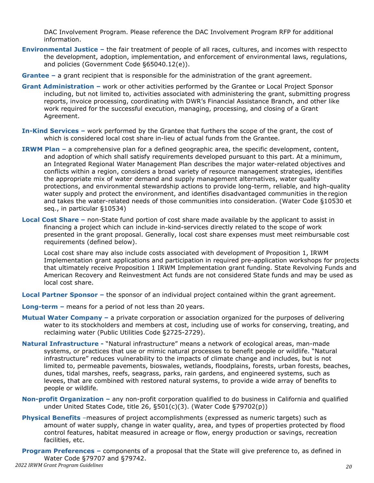DAC Involvement Program. Please reference the DAC Involvement Program RFP for additional information.

- **Environmental Justice –** the fair treatment of people of all races, cultures, and incomes with respectto the development, adoption, implementation, and enforcement of environmental laws, regulations, and policies (Government Code §65040.12(e)).
- **Grantee –** a grant recipient that is responsible for the administration of the grant agreement.
- **Grant Administration –** work or other activities performed by the Grantee or Local Project Sponsor including, but not limited to, activities associated with administering the grant, submitting progress reports, invoice processing, coordinating with DWR's Financial Assistance Branch, and other like work required for the successful execution, managing, processing, and closing of a Grant Agreement.
- **In-Kind Services –** work performed by the Grantee that furthers the scope of the grant, the cost of which is considered local cost share in-lieu of actual funds from the Grantee.
- **IRWM Plan –** a comprehensive plan for a defined geographic area, the specific development, content, and adoption of which shall satisfy requirements developed pursuant to this part. At a minimum, an Integrated Regional Water Management Plan describes the major water-related objectives and conflicts within a region, considers a broad variety of resource management strategies, identifies the appropriate mix of water demand and supply management alternatives, water quality protections, and environmental stewardship actions to provide long-term, reliable, and high-quality water supply and protect the environment, and identifies disadvantaged communities in the region and takes the water-related needs of those communities into consideration. (Water Code §10530 et seq., in particular §10534)
- **Local Cost Share –** non-State fund portion of cost share made available by the applicant to assist in financing a project which can include in-kind-services directly related to the scope of work presented in the grant proposal. Generally, local cost share expenses must meet reimbursable cost requirements (defined below).

Local cost share may also include costs associated with development of Proposition 1, IRWM Implementation grant applications and participation in required pre-application workshops for projects that ultimately receive Proposition 1 IRWM Implementation grant funding. State Revolving Funds and American Recovery and Reinvestment Act funds are not considered State funds and may be used as local cost share.

**Local Partner Sponsor –** the sponsor of an individual project contained within the grant agreement.

- **Long-term –** means for a period of not less than 20 years.
- **Mutual Water Company –** a private corporation or association organized for the purposes of delivering water to its stockholders and members at cost, including use of works for conserving, treating, and reclaiming water (Public Utilities Code §2725-2729).
- **Natural Infrastructure -** "Natural infrastructure" means a network of ecological areas, man-made systems, or practices that use or mimic natural processes to benefit people or wildlife. "Natural infrastructure" reduces vulnerability to the impacts of climate change and includes, but is not limited to, permeable pavements, bioswales, wetlands, floodplains, forests, urban forests, beaches, dunes, tidal marshes, reefs, seagrass, parks, rain gardens, and engineered systems, such as levees, that are combined with restored natural systems, to provide a wide array of benefits to people or wildlife.
- **Non-profit Organization –** any non-profit corporation qualified to do business in California and qualified under United States Code, title 26, §501(c)(3). (Water Code §79702(p))
- **Physical Benefits** –measures of project accomplishments (expressed as numeric targets) such as amount of water supply, change in water quality, area, and types of properties protected by flood control features, habitat measured in acreage or flow, energy production or savings, recreation facilities, etc.
- *20 2022 IRWM Grant Program Guidelines* **Program Preferences –** components of a proposal that the State will give preference to, as defined in Water Code §79707 and §79742.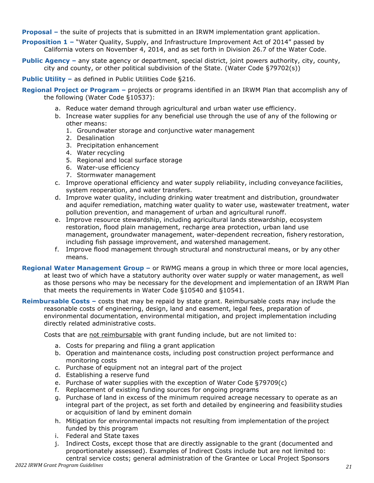**Proposal –** the suite of projects that is submitted in an IRWM implementation grant application.

- **Proposition 1** "Water Quality, Supply, and Infrastructure Improvement Act of 2014" passed by California voters on November 4, 2014, and as set forth in Division 26.7 of the Water Code.
- **Public Agency** any state agency or department, special district, joint powers authority, city, county, city and county, or other political subdivision of the State. (Water Code §79702(s))
- **Public Utility** as defined in Public Utilities Code §216.
- **Regional Project or Program** projects or programs identified in an IRWM Plan that accomplish any of the following (Water Code §10537):
	- a. Reduce water demand through agricultural and urban water use efficiency.
	- b. Increase water supplies for any beneficial use through the use of any of the following or other means:
		- 1. Groundwater storage and conjunctive water management
		- 2. Desalination
		- 3. Precipitation enhancement
		- 4. Water recycling
		- 5. Regional and local surface storage
		- 6. Water-use efficiency
		- 7. Stormwater management
	- c. Improve operational efficiency and water supply reliability, including conveyance facilities, system reoperation, and water transfers.
	- d. Improve water quality, including drinking water treatment and distribution, groundwater and aquifer remediation, matching water quality to water use, wastewater treatment, water pollution prevention, and management of urban and agricultural runoff.
	- e. Improve resource stewardship, including agricultural lands stewardship, ecosystem restoration, flood plain management, recharge area protection, urban land use management, groundwater management, water-dependent recreation, fishery restoration, including fish passage improvement, and watershed management.
	- f. Improve flood management through structural and nonstructural means, or by any other means.
- **Regional Water Management Group** or RWMG means a group in which three or more local agencies, at least two of which have a statutory authority over water supply or water management, as well as those persons who may be necessary for the development and implementation of an IRWM Plan that meets the requirements in Water Code §10540 and §10541.
- **Reimbursable Costs** costs that may be repaid by state grant. Reimbursable costs may include the reasonable costs of engineering, design, land and easement, legal fees, preparation of environmental documentation, environmental mitigation, and project implementation including directly related administrative costs.

Costs that are not reimbursable with grant funding include, but are not limited to:

- a. Costs for preparing and filing a grant application
- b. Operation and maintenance costs, including post construction project performance and monitoring costs
- c. Purchase of equipment not an integral part of the project
- d. Establishing a reserve fund
- e. Purchase of water supplies with the exception of Water Code §79709(c)
- f. Replacement of existing funding sources for ongoing programs
- g. Purchase of land in excess of the minimum required acreage necessary to operate as an integral part of the project, as set forth and detailed by engineering and feasibility studies or acquisition of land by eminent domain
- h. Mitigation for environmental impacts not resulting from implementation of the project funded by this program
- i. Federal and State taxes
- j. Indirect Costs, except those that are directly assignable to the grant (documented and proportionately assessed). Examples of Indirect Costs include but are not limited to: central service costs; general administration of the Grantee or Local Project Sponsors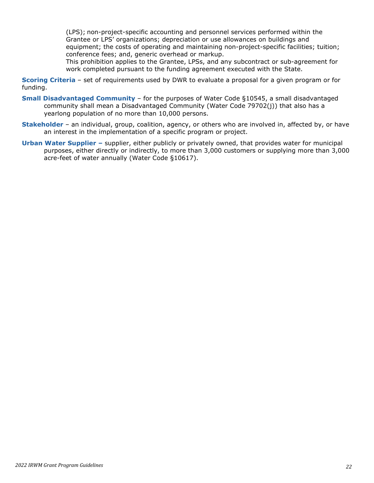(LPS); non-project-specific accounting and personnel services performed within the Grantee or LPS' organizations; depreciation or use allowances on buildings and equipment; the costs of operating and maintaining non-project-specific facilities; tuition; conference fees; and, generic overhead or markup.

This prohibition applies to the Grantee, LPSs, and any subcontract or sub-agreement for work completed pursuant to the funding agreement executed with the State.

**Scoring Criteria** – set of requirements used by DWR to evaluate a proposal for a given program or for funding.

- **Small Disadvantaged Community**  for the purposes of Water Code §10545, a small disadvantaged community shall mean a Disadvantaged Community (Water Code 79702(j)) that also has a yearlong population of no more than 10,000 persons.
- **Stakeholder**  an individual, group, coalition, agency, or others who are involved in, affected by, or have an interest in the implementation of a specific program or project.
- **Urban Water Supplier –** supplier, either publicly or privately owned, that provides water for municipal purposes, either directly or indirectly, to more than 3,000 customers or supplying more than 3,000 acre-feet of water annually (Water Code §10617).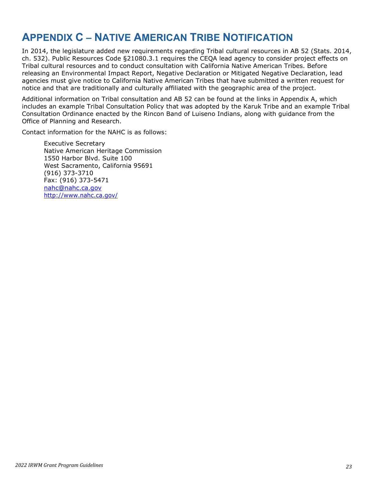## <span id="page-23-0"></span>**APPENDIX C – NATIVE AMERICAN TRIBE NOTIFICATION**

In 2014, the legislature added new requirements regarding Tribal cultural resources in AB 52 (Stats. 2014, ch. 532). Public Resources Code §21080.3.1 requires the CEQA lead agency to consider project effects on Tribal cultural resources and to conduct consultation with California Native American Tribes. Before releasing an Environmental Impact Report, Negative Declaration or Mitigated Negative Declaration, lead agencies must give notice to California Native American Tribes that have submitted a written request for notice and that are traditionally and culturally affiliated with the geographic area of the project.

Additional information on Tribal consultation and AB 52 can be found at the links in Appendix A, which includes an example Tribal Consultation Policy that was adopted by the Karuk Tribe and an example Tribal Consultation Ordinance enacted by the Rincon Band of Luiseno Indians, along with guidance from the Office of Planning and Research.

Contact information for the NAHC is as follows:

Executive Secretary Native American Heritage Commission 1550 Harbor Blvd. Suite 100 West Sacramento, California 95691 (916) 373-3710 Fax: (916) 373-5471 [nahc@nahc.ca.gov](https://mail.ces.ca.gov/owa/redir.aspx?C=ZuCemDZq4EmcgnlBX8lnJOENTa0ySNEIGS6x7YPBmRoYerOVdVyJzd7UZmXD-Wt61Z-it5njelU.&URL=mailto%3anahc%40nahc.ca.gov) <http://www.nahc.ca.gov/>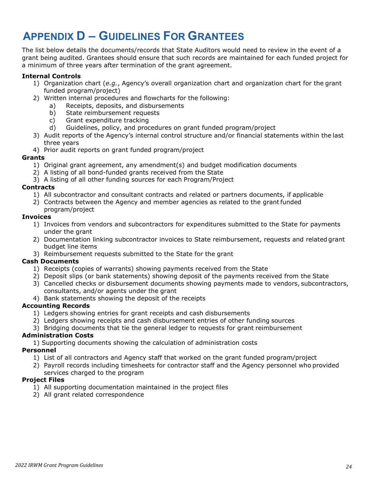## **APPENDIX D – GUIDELINES FOR GRANTEES**

The list below details the documents/records that State Auditors would need to review in the event of a grant being audited. Grantees should ensure that such records are maintained for each funded project for a minimum of three years after termination of the grant agreement.

#### **Internal Controls**

- 1) Organization chart (*e.g.*, Agency's overall organization chart and organization chart for the grant funded program/project)
- 2) Written internal procedures and flowcharts for the following:
	- a) Receipts, deposits, and disbursements
	- b) State reimbursement requests
	- c) Grant expenditure tracking
	- d) Guidelines, policy, and procedures on grant funded program/project
- 3) Audit reports of the Agency's internal control structure and/or financial statements within the last three years
- 4) Prior audit reports on grant funded program/project

#### **Grants**

- 1) Original grant agreement, any amendment(s) and budget modification documents
- 2) A listing of all bond-funded grants received from the State
- 3) A listing of all other funding sources for each Program/Project

#### **Contracts**

- 1) All subcontractor and consultant contracts and related or partners documents, if applicable
- 2) Contracts between the Agency and member agencies as related to the grantfunded program/project

#### **Invoices**

- 1) Invoices from vendors and subcontractors for expenditures submitted to the State for payments under the grant
- 2) Documentation linking subcontractor invoices to State reimbursement, requests and related grant budget line items
- 3) Reimbursement requests submitted to the State for the grant

#### **Cash Documents**

- 1) Receipts (copies of warrants) showing payments received from the State
- 2) Deposit slips (or bank statements) showing deposit of the payments received from the State
- 3) Cancelled checks or disbursement documents showing payments made to vendors, subcontractors, consultants, and/or agents under the grant
- 4) Bank statements showing the deposit of the receipts

#### **Accounting Records**

- 1) Ledgers showing entries for grant receipts and cash disbursements
- 2) Ledgers showing receipts and cash disbursement entries of other funding sources
- 3) Bridging documents that tie the general ledger to requests for grant reimbursement

#### **Administration Costs**

1) Supporting documents showing the calculation of administration costs

#### **Personnel**

- 1) List of all contractors and Agency staff that worked on the grant funded program/project
- 2) Payroll records including timesheets for contractor staff and the Agency personnel who provided

#### services charged to the program

#### **Project Files**

- 1) All supporting documentation maintained in the project files
- 2) All grant related correspondence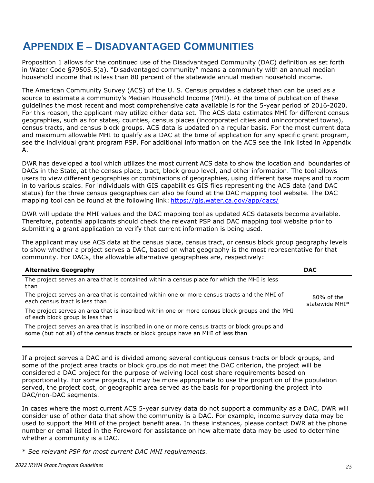## <span id="page-25-0"></span>**APPENDIX E – DISADVANTAGED COMMUNITIES**

Proposition 1 allows for the continued use of the Disadvantaged Community (DAC) definition as set forth in Water Code §79505.5(a). "Disadvantaged community" means a community with an annual median household income that is less than 80 percent of the statewide annual median household income.

The American Community Survey (ACS) of the U. S. Census provides a dataset than can be used as a source to estimate a community's Median Household Income (MHI). At the time of publication of these guidelines the most recent and most comprehensive data available is for the 5-year period of 2016-2020. For this reason, the applicant may utilize either data set. The ACS data estimates MHI for different census geographies, such as for states, counties, census places (incorporated cities and unincorporated towns), census tracts, and census block groups. ACS data is updated on a regular basis. For the most current data and maximum allowable MHI to qualify as a DAC at the time of application for any specific grant program, see the individual grant program PSP. For additional information on the ACS see the link listed in Appendix  $\mathsf{A}$ .

DWR has developed a tool which utilizes the most current ACS data to show the location and boundaries of DACs in the State, at the census place, tract, block group level, and other information. The tool allows users to view different geographies or combinations of geographies, using different base maps and to zoom in to various scales. For individuals with GIS capabilities GIS files representing the ACS data (and DAC status) for the three census geographies can also be found at the DAC mapping tool website. The DAC mapping tool can be found at the following link: <https://gis.water.ca.gov/app/dacs/>

DWR will update the MHI values and the DAC mapping tool as updated ACS datasets become available. Therefore, potential applicants should check the relevant PSP and DAC mapping tool website prior to submitting a grant application to verify that current information is being used.

The applicant may use ACS data at the census place, census tract, or census block group geography levels to show whether a project serves a DAC, based on what geography is the most representative for that community. For DACs, the allowable alternative geographies are, respectively:

| <b>Alternative Geography</b>                                                                                                                                                      | <b>DAC</b>                      |
|-----------------------------------------------------------------------------------------------------------------------------------------------------------------------------------|---------------------------------|
| The project serves an area that is contained within a census place for which the MHI is less<br>than                                                                              |                                 |
| The project serves an area that is contained within one or more census tracts and the MHI of<br>each census tract is less than                                                    | $80\%$ of the<br>statewide MHI* |
| The project serves an area that is inscribed within one or more census block groups and the MHI<br>of each block group is less than                                               |                                 |
| The project serves an area that is inscribed in one or more census tracts or block groups and<br>some (but not all) of the census tracts or block groups have an MHI of less than |                                 |

If a project serves a DAC and is divided among several contiguous census tracts or block groups, and some of the project area tracts or block groups do not meet the DAC criterion, the project will be considered a DAC project for the purpose of waiving local cost share requirements based on proportionality. For some projects, it may be more appropriate to use the proportion of the population served, the project cost, or geographic area served as the basis for proportioning the project into DAC/non-DAC segments.

In cases where the most current ACS 5-year survey data do not support a community as a DAC, DWR will consider use of other data that show the community is a DAC. For example, income survey data may be used to support the MHI of the project benefit area. In these instances, please contact DWR at the phone number or email listed in the Foreword for assistance on how alternate data may be used to determine whether a community is a DAC.

\* *See relevant PSP for most current DAC MHI requirements.*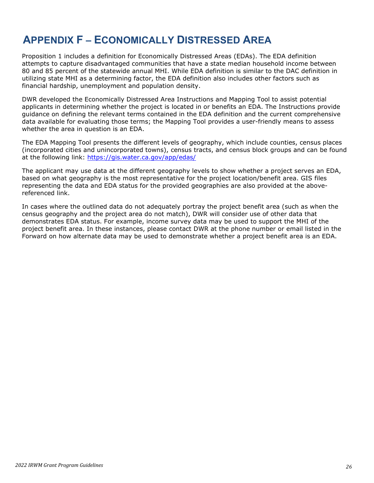## <span id="page-26-0"></span>**APPENDIX F – ECONOMICALLY DISTRESSED AREA**

Proposition 1 includes a definition for Economically Distressed Areas (EDAs). The EDA definition attempts to capture disadvantaged communities that have a state median household income between 80 and 85 percent of the statewide annual MHI. While EDA definition is similar to the DAC definition in utilizing state MHI as a determining factor, the EDA definition also includes other factors such as financial hardship, unemployment and population density.

DWR developed the Economically Distressed Area Instructions and Mapping Tool to assist potential applicants in determining whether the project is located in or benefits an EDA. The Instructions provide guidance on defining the relevant terms contained in the EDA definition and the current comprehensive data available for evaluating those terms; the Mapping Tool provides a user-friendly means to assess whether the area in question is an EDA.

The EDA Mapping Tool presents the different levels of geography, which include counties, census places (incorporated cities and unincorporated towns), census tracts, and census block groups and can be found at the following link:<https://gis.water.ca.gov/app/edas/>

The applicant may use data at the different geography levels to show whether a project serves an EDA, based on what geography is the most representative for the project location/benefit area. GIS files representing the data and EDA status for the provided geographies are also provided at the abovereferenced link.

In cases where the outlined data do not adequately portray the project benefit area (such as when the census geography and the project area do not match), DWR will consider use of other data that demonstrates EDA status. For example, income survey data may be used to support the MHI of the project benefit area. In these instances, please contact DWR at the phone number or email listed in the Forward on how alternate data may be used to demonstrate whether a project benefit area is an EDA.